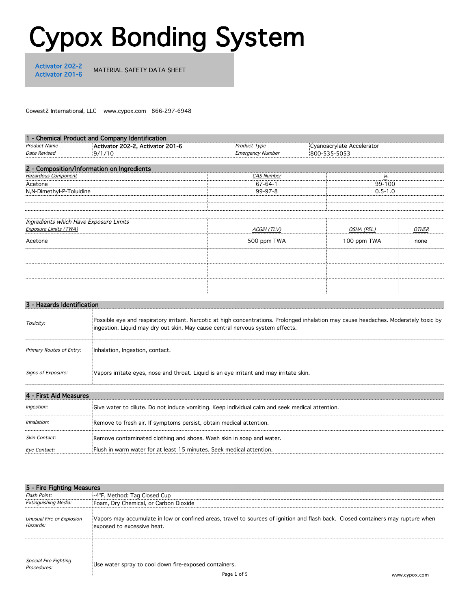# Cypox Bonding System

Activator 202-2<br>Activator 201-6

MATERIAL SAFETY DATA SHEET

Gowest2 International, LLC www.cypox.com 866-297-6948

|                          | 1 - Chemical Product and Company Identification |                         |                           |      |
|--------------------------|-------------------------------------------------|-------------------------|---------------------------|------|
| Product Name             | Activator 202-2, Activator 201-6                | Product Type            | Cyanoacrylate Accelerator |      |
| Date Revised             | 9/1/10                                          | <b>Emergency Number</b> | 800-535-5053              |      |
|                          | 2 - Composition/Information on Ingredients      |                         |                           |      |
| Hazardous Component      |                                                 | <i>CAS Number</i>       |                           |      |
| Acetone                  |                                                 | $67 - 64 - 1$           | 99-100                    |      |
| N,N-Dimethyl-P-Toluidine |                                                 | 99-97-8                 | $0.5 - 1.0$               |      |
|                          |                                                 |                         |                           |      |
| Exposure Limits (TWA)    | Ingredients which Have Exposure Limits          | ACGIH (TLV)             | OSHA (PEL)                |      |
| Acetone                  |                                                 | 500 ppm TWA             | 100 ppm TWA               | none |
|                          |                                                 |                         |                           |      |
|                          |                                                 |                         |                           |      |
|                          |                                                 |                         |                           |      |
|                          |                                                 |                         |                           |      |

|                          | Possible eye and respiratory irritant. Narcotic at high concentrations. Prolonged inhalation may cause headaches. Moderately toxic by<br>ingestion. Liquid may dry out skin. May cause central nervous system effects. |  |
|--------------------------|------------------------------------------------------------------------------------------------------------------------------------------------------------------------------------------------------------------------|--|
| Primary Routes of Entry: | Inhalation, Ingestion, contact.                                                                                                                                                                                        |  |
| Signs of Exposure:       | Vapors irritate eyes, nose and throat. Liquid is an eye irritant and may irritate skin.                                                                                                                                |  |
| * Ald Massacres          |                                                                                                                                                                                                                        |  |

|                         | Give water to dilute. Do not induce vomiting. Keep individual calm and seek medical attention. |  |
|-------------------------|------------------------------------------------------------------------------------------------|--|
| Inhalation <sup>.</sup> | Remove to fresh air. If symptoms persist, obtain medical attention.                            |  |
| <i>Skin Contact:</i>    | Remove contaminated clothing and shoes. Wash skin in soap and water.                           |  |
| <i>Eve Contact:</i>     | Flush in warm water for at least 15 minutes. Seek medical attention.                           |  |

| 5 - Fire Fighting Measures                   |                                                                                                                                                                |               |  |
|----------------------------------------------|----------------------------------------------------------------------------------------------------------------------------------------------------------------|---------------|--|
| Flash Point:                                 | -4°F, Method: Tag Closed Cup                                                                                                                                   |               |  |
| <b>Fxtinguishing Media:</b>                  | Foam, Dry Chemical, or Carbon Dioxide                                                                                                                          |               |  |
| Unusual Fire or Explosion<br>Hazards:        | Vapors may accumulate in low or confined areas, travel to sources of ignition and flash back. Closed containers may rupture when<br>exposed to excessive heat. |               |  |
|                                              |                                                                                                                                                                |               |  |
| <i>Special Fire Fighting<br/>Procedures:</i> | Use water spray to cool down fire-exposed containers.                                                                                                          |               |  |
|                                              | Page 1 of 5                                                                                                                                                    | www.cypox.com |  |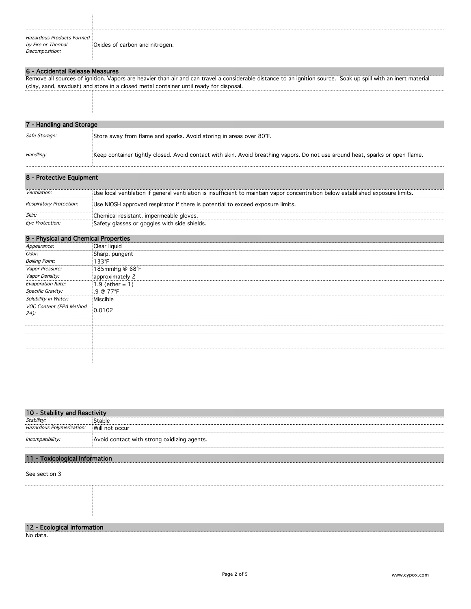| Hazardous Products Formed |                                |
|---------------------------|--------------------------------|
| by Fire or Thermal        | Oxides of carbon and nitrogen. |
| Decomposition:            |                                |

#### 6 - Accidental Release Measures

Remove all sources of ignition. Vapors are heavier than air and can travel a considerable distance to an ignition source. Soak up spill with an inert material (clay, sand, sawdust) and store in a closed metal container until ready for disposal.

| 7 - Handling and Storage |                                                                                                                               |  |  |
|--------------------------|-------------------------------------------------------------------------------------------------------------------------------|--|--|
| Safe Storage:            | Store away from flame and sparks. Avoid storing in areas over 80°F.                                                           |  |  |
| Handling:                | Keep container tightly closed. Avoid contact with skin. Avoid breathing vapors. Do not use around heat, sparks or open flame. |  |  |

| 8 - Protective Equipment |                                                                                                                                 |
|--------------------------|---------------------------------------------------------------------------------------------------------------------------------|
| <i>Ventilation</i>       | Use local ventilation if general ventilation is insufficient to maintain vapor concentration below established exposure limits. |
| Respiratory Protection:  | Use NIOSH approved respirator if there is potential to exceed exposure limits.                                                  |
| Skin:                    | Chemical resistant, impermeable gloves.                                                                                         |
| Eye Protection:          | Safety glasses or goggles with side shields.                                                                                    |

| sical and Chemical Properties     |                    |
|-----------------------------------|--------------------|
| Appearance:                       | Clear liquid       |
| <i>Odor:</i>                      | Sharp, pungent     |
| <b>Boiling Point:</b>             | 133°F              |
| <i>Vapor Pressure:</i><br>        |                    |
| <i>Vapor Density:</i><br>         | approximately 2    |
| <b>Evaporation Rate:</b>          | $(1.9$ (ether = 1) |
| Specific Gravity:<br>.            | $.9@77^{\circ}F$   |
| Solubility in Water:              | Miscible           |
| VOC Content (EPA Method<br>$24$ : | 0.0102             |
|                                   |                    |
|                                   |                    |
|                                   |                    |
|                                   |                    |
|                                   |                    |
|                                   |                    |

| 10 - Stability and Reactivity |                                             |  |
|-------------------------------|---------------------------------------------|--|
| Stability:                    | ` <sup>c+</sup> able                        |  |
| Hazardous Polymerization:     | Will not occur                              |  |
| Incompatibility:              | Avoid contact with strong oxidizing agents. |  |

#### 11 - Toxicological Information

See section 3

#### 12 - Ecological Information

No data.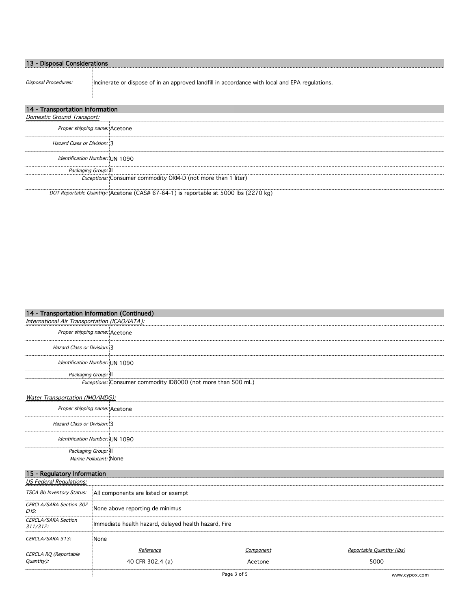| )isposal Considerations         |                                                                                                |  |
|---------------------------------|------------------------------------------------------------------------------------------------|--|
| Disposal Procedures:            | Incinerate or dispose of in an approved landfill in accordance with local and EPA regulations. |  |
| 14 - Transportation Information |                                                                                                |  |
| Domestic Ground Transport:      |                                                                                                |  |
|                                 | Proper shipping name: Acetone                                                                  |  |
| Hazard Class or Division: 3     |                                                                                                |  |
|                                 | Identification Number: UN 1090                                                                 |  |

DOT Reportable Quantity: Acetone (CAS# 67-64-1) is reportable at 5000 lbs (2270 kg)

Exceptions: Consumer commodity ORM-D (not more than 1 liter)

### 14 - Transportation Information (Continued)

Packaging Group: II

International Air Transportation (ICAO/IATA): Proper shipping name: Acetone Hazard Class or Division: 3 Identification Number: UN 1090 Packaging Group: II Exceptions: Consumer commodity ID8000 (not more than 500 mL)

# Water Transportation (IMO/IMDG):

| Proper shipping name: Acetone  |  |
|--------------------------------|--|
| Hazard Class or Division: 3    |  |
| Identification Number: UN 1090 |  |
| Packaging Group: II            |  |
| <i>Marine Pollutant:</i> None  |  |

## 15 - Regulatory Information

÷

| TSCA 8b Inventory Status: All components are listed or exempt |           |                           |
|---------------------------------------------------------------|-----------|---------------------------|
| CERCLA/SARA Section 302<br>None above reporting de minimus    |           |                           |
| Immediate health hazard, delayed health hazard, Fire          |           |                           |
| None                                                          |           |                           |
| <i>Reference</i>                                              | :omponent | Reportable Ouantity (lbs) |
| 40 CFR 302.4 (a)                                              | Acetone   | 5000                      |
|                                                               |           |                           |